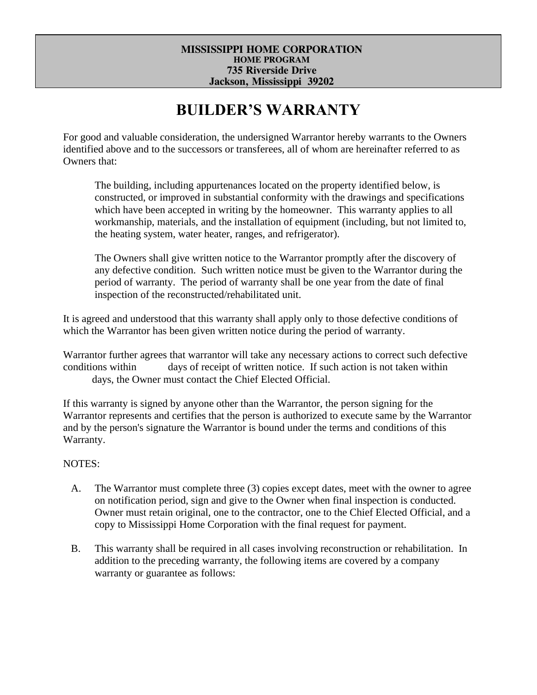#### **MISSISSIPPI HOME CORPORATION HOME PROGRAM 735 Riverside Drive Jackson, Mississippi 39202**

# **BUILDER'S WARRANTY**

For good and valuable consideration, the undersigned Warrantor hereby warrants to the Owners identified above and to the successors or transferees, all of whom are hereinafter referred to as Owners that:

The building, including appurtenances located on the property identified below, is constructed, or improved in substantial conformity with the drawings and specifications which have been accepted in writing by the homeowner. This warranty applies to all workmanship, materials, and the installation of equipment (including, but not limited to, the heating system, water heater, ranges, and refrigerator).

The Owners shall give written notice to the Warrantor promptly after the discovery of any defective condition. Such written notice must be given to the Warrantor during the period of warranty. The period of warranty shall be one year from the date of final inspection of the reconstructed/rehabilitated unit.

It is agreed and understood that this warranty shall apply only to those defective conditions of which the Warrantor has been given written notice during the period of warranty.

Warrantor further agrees that warrantor will take any necessary actions to correct such defective conditions within days of receipt of written notice. If such action is not taken within days, the Owner must contact the Chief Elected Official.

If this warranty is signed by anyone other than the Warrantor, the person signing for the Warrantor represents and certifies that the person is authorized to execute same by the Warrantor and by the person's signature the Warrantor is bound under the terms and conditions of this Warranty.

## NOTES:

- A. The Warrantor must complete three (3) copies except dates, meet with the owner to agree on notification period, sign and give to the Owner when final inspection is conducted. Owner must retain original, one to the contractor, one to the Chief Elected Official, and a copy to Mississippi Home Corporation with the final request for payment.
- B. This warranty shall be required in all cases involving reconstruction or rehabilitation. In addition to the preceding warranty, the following items are covered by a company warranty or guarantee as follows: